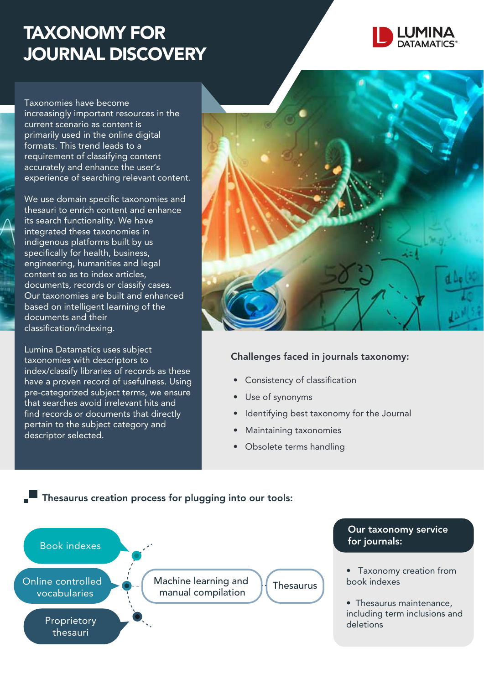## TAXONOMY FOR JOURNAL DISCOVERY



Taxonomies have become increasingly important resources in the current scenario as content is primarily used in the online digital formats. This trend leads to a requirement of classifying content accurately and enhance the user's experience of searching relevant content.

We use domain specific taxonomies and thesauri to enrich content and enhance its search functionality. We have integrated these taxonomies in indigenous platforms built by us specifically for health, business, engineering, humanities and legal content so as to index articles, documents, records or classify cases. Our taxonomies are built and enhanced based on intelligent learning of the documents and their classification/indexing.

Lumina Datamatics uses subject taxonomies with descriptors to index/classify libraries of records as these have a proven record of usefulness. Using pre-categorized subject terms, we ensure that searches avoid irrelevant hits and find records or documents that directly pertain to the subject category and descriptor selected.

**Thesaurus creation process for plugging into our tools:** 



## Challenges faced in journals taxonomy:

- Consistency of classification
- Use of synonyms
- Identifying best taxonomy for the Journal
- Maintaining taxonomies
- Obsolete terms handling